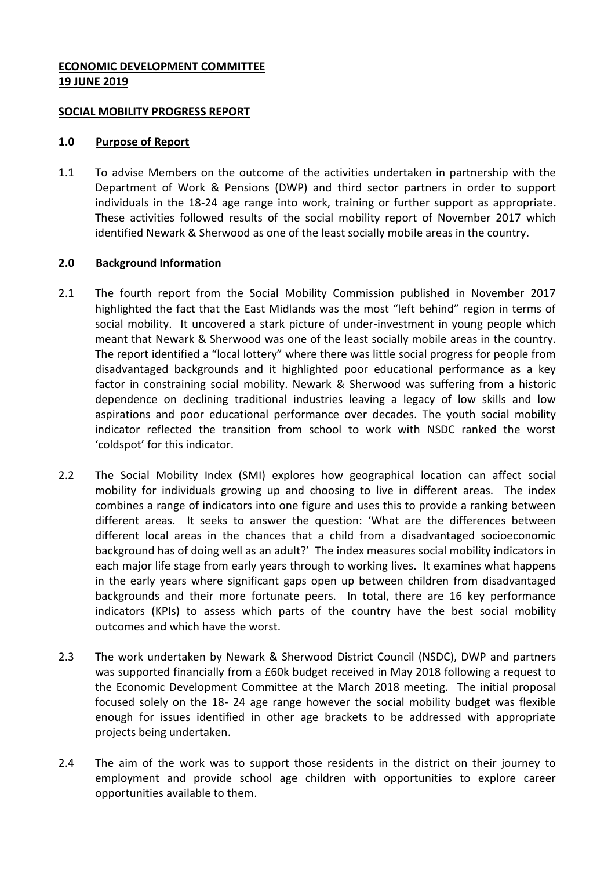## **ECONOMIC DEVELOPMENT COMMITTEE 19 JUNE 2019**

#### **SOCIAL MOBILITY PROGRESS REPORT**

#### **1.0 Purpose of Report**

1.1 To advise Members on the outcome of the activities undertaken in partnership with the Department of Work & Pensions (DWP) and third sector partners in order to support individuals in the 18-24 age range into work, training or further support as appropriate. These activities followed results of the social mobility report of November 2017 which identified Newark & Sherwood as one of the least socially mobile areas in the country.

#### **2.0 Background Information**

- 2.1 The fourth report from the Social Mobility Commission published in November 2017 highlighted the fact that the East Midlands was the most "left behind" region in terms of social mobility. It uncovered a stark picture of under-investment in young people which meant that Newark & Sherwood was one of the least socially mobile areas in the country. The report identified a "local lottery" where there was little social progress for people from disadvantaged backgrounds and it highlighted poor educational performance as a key factor in constraining social mobility. Newark & Sherwood was suffering from a historic dependence on declining traditional industries leaving a legacy of low skills and low aspirations and poor educational performance over decades. The youth social mobility indicator reflected the transition from school to work with NSDC ranked the worst 'coldspot' for this indicator.
- 2.2 The Social Mobility Index (SMI) explores how geographical location can affect social mobility for individuals growing up and choosing to live in different areas. The index combines a range of indicators into one figure and uses this to provide a ranking between different areas. It seeks to answer the question: 'What are the differences between different local areas in the chances that a child from a disadvantaged socioeconomic background has of doing well as an adult?' The index measures social mobility indicators in each major life stage from early years through to working lives. It examines what happens in the early years where significant gaps open up between children from disadvantaged backgrounds and their more fortunate peers. In total, there are 16 key performance indicators (KPIs) to assess which parts of the country have the best social mobility outcomes and which have the worst.
- 2.3 The work undertaken by Newark & Sherwood District Council (NSDC), DWP and partners was supported financially from a £60k budget received in May 2018 following a request to the Economic Development Committee at the March 2018 meeting. The initial proposal focused solely on the 18- 24 age range however the social mobility budget was flexible enough for issues identified in other age brackets to be addressed with appropriate projects being undertaken.
- 2.4 The aim of the work was to support those residents in the district on their journey to employment and provide school age children with opportunities to explore career opportunities available to them.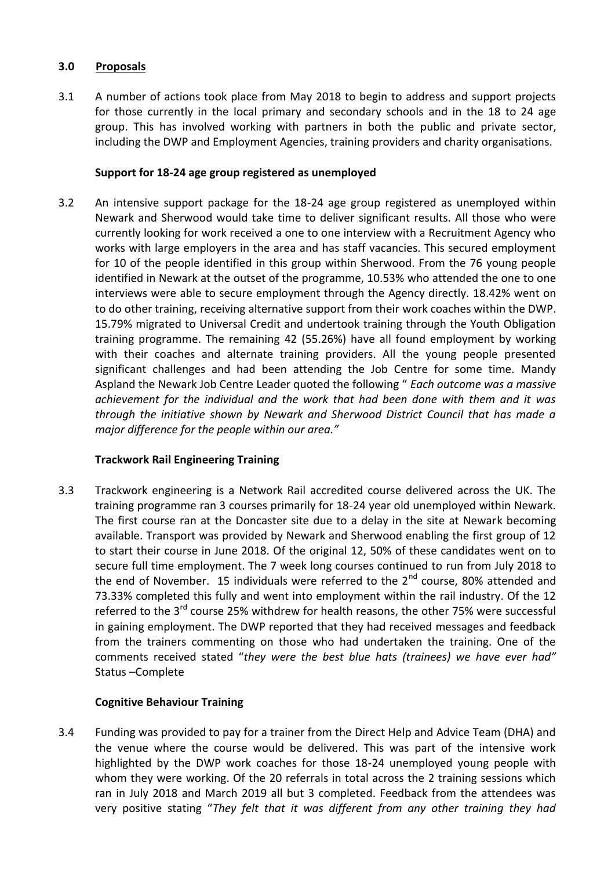## **3.0 Proposals**

3.1 A number of actions took place from May 2018 to begin to address and support projects for those currently in the local primary and secondary schools and in the 18 to 24 age group. This has involved working with partners in both the public and private sector, including the DWP and Employment Agencies, training providers and charity organisations.

## **Support for 18-24 age group registered as unemployed**

3.2 An intensive support package for the 18-24 age group registered as unemployed within Newark and Sherwood would take time to deliver significant results. All those who were currently looking for work received a one to one interview with a Recruitment Agency who works with large employers in the area and has staff vacancies. This secured employment for 10 of the people identified in this group within Sherwood. From the 76 young people identified in Newark at the outset of the programme, 10.53% who attended the one to one interviews were able to secure employment through the Agency directly. 18.42% went on to do other training, receiving alternative support from their work coaches within the DWP. 15.79% migrated to Universal Credit and undertook training through the Youth Obligation training programme. The remaining 42 (55.26%) have all found employment by working with their coaches and alternate training providers. All the young people presented significant challenges and had been attending the Job Centre for some time. Mandy Aspland the Newark Job Centre Leader quoted the following " *Each outcome was a massive achievement for the individual and the work that had been done with them and it was through the initiative shown by Newark and Sherwood District Council that has made a major difference for the people within our area."*

# **Trackwork Rail Engineering Training**

3.3 Trackwork engineering is a Network Rail accredited course delivered across the UK. The training programme ran 3 courses primarily for 18-24 year old unemployed within Newark. The first course ran at the Doncaster site due to a delay in the site at Newark becoming available. Transport was provided by Newark and Sherwood enabling the first group of 12 to start their course in June 2018. Of the original 12, 50% of these candidates went on to secure full time employment. The 7 week long courses continued to run from July 2018 to the end of November. 15 individuals were referred to the  $2<sup>nd</sup>$  course, 80% attended and 73.33% completed this fully and went into employment within the rail industry. Of the 12 referred to the 3<sup>rd</sup> course 25% withdrew for health reasons, the other 75% were successful in gaining employment. The DWP reported that they had received messages and feedback from the trainers commenting on those who had undertaken the training. One of the comments received stated "*they were the best blue hats (trainees) we have ever had"*  Status –Complete

# **Cognitive Behaviour Training**

3.4 Funding was provided to pay for a trainer from the Direct Help and Advice Team (DHA) and the venue where the course would be delivered. This was part of the intensive work highlighted by the DWP work coaches for those 18-24 unemployed young people with whom they were working. Of the 20 referrals in total across the 2 training sessions which ran in July 2018 and March 2019 all but 3 completed. Feedback from the attendees was very positive stating "*They felt that it was different from any other training they had*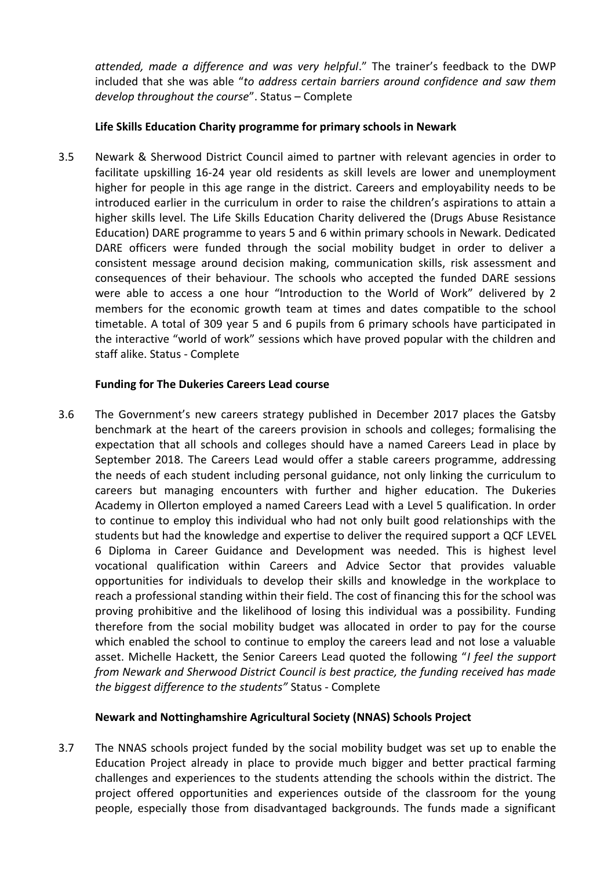*attended, made a difference and was very helpful*." The trainer's feedback to the DWP included that she was able "*to address certain barriers around confidence and saw them develop throughout the course*". Status – Complete

## **Life Skills Education Charity programme for primary schools in Newark**

3.5 Newark & Sherwood District Council aimed to partner with relevant agencies in order to facilitate upskilling 16-24 year old residents as skill levels are lower and unemployment higher for people in this age range in the district. Careers and employability needs to be introduced earlier in the curriculum in order to raise the children's aspirations to attain a higher skills level. The Life Skills Education Charity delivered the (Drugs Abuse Resistance Education) DARE programme to years 5 and 6 within primary schools in Newark. Dedicated DARE officers were funded through the social mobility budget in order to deliver a consistent message around decision making, communication skills, risk assessment and consequences of their behaviour. The schools who accepted the funded DARE sessions were able to access a one hour "Introduction to the World of Work" delivered by 2 members for the economic growth team at times and dates compatible to the school timetable. A total of 309 year 5 and 6 pupils from 6 primary schools have participated in the interactive "world of work" sessions which have proved popular with the children and staff alike. Status - Complete

## **Funding for The Dukeries Careers Lead course**

3.6 The Government's new careers strategy published in December 2017 places the Gatsby benchmark at the heart of the careers provision in schools and colleges; formalising the expectation that all schools and colleges should have a named Careers Lead in place by September 2018. The Careers Lead would offer a stable careers programme, addressing the needs of each student including personal guidance, not only linking the curriculum to careers but managing encounters with further and higher education. The Dukeries Academy in Ollerton employed a named Careers Lead with a Level 5 qualification. In order to continue to employ this individual who had not only built good relationships with the students but had the knowledge and expertise to deliver the required support a QCF LEVEL 6 Diploma in Career Guidance and Development was needed. This is highest level vocational qualification within Careers and Advice Sector that provides valuable opportunities for individuals to develop their skills and knowledge in the workplace to reach a professional standing within their field. The cost of financing this for the school was proving prohibitive and the likelihood of losing this individual was a possibility. Funding therefore from the social mobility budget was allocated in order to pay for the course which enabled the school to continue to employ the careers lead and not lose a valuable asset. Michelle Hackett, the Senior Careers Lead quoted the following "*I feel the support from Newark and Sherwood District Council is best practice, the funding received has made the biggest difference to the students"* Status - Complete

#### **Newark and Nottinghamshire Agricultural Society (NNAS) Schools Project**

3.7 The NNAS schools project funded by the social mobility budget was set up to enable the Education Project already in place to provide much bigger and better practical farming challenges and experiences to the students attending the schools within the district. The project offered opportunities and experiences outside of the classroom for the young people, especially those from disadvantaged backgrounds. The funds made a significant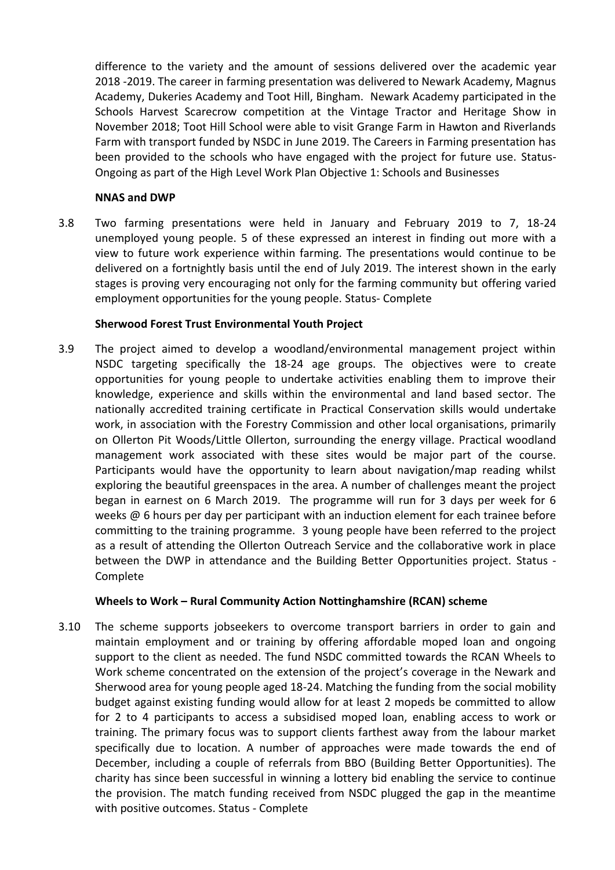difference to the variety and the amount of sessions delivered over the academic year 2018 -2019. The career in farming presentation was delivered to Newark Academy, Magnus Academy, Dukeries Academy and Toot Hill, Bingham. Newark Academy participated in the Schools Harvest Scarecrow competition at the Vintage Tractor and Heritage Show in November 2018; Toot Hill School were able to visit Grange Farm in Hawton and Riverlands Farm with transport funded by NSDC in June 2019. The Careers in Farming presentation has been provided to the schools who have engaged with the project for future use. Status-Ongoing as part of the High Level Work Plan Objective 1: Schools and Businesses

## **NNAS and DWP**

3.8 Two farming presentations were held in January and February 2019 to 7, 18-24 unemployed young people. 5 of these expressed an interest in finding out more with a view to future work experience within farming. The presentations would continue to be delivered on a fortnightly basis until the end of July 2019. The interest shown in the early stages is proving very encouraging not only for the farming community but offering varied employment opportunities for the young people. Status- Complete

## **Sherwood Forest Trust Environmental Youth Project**

3.9 The project aimed to develop a woodland/environmental management project within NSDC targeting specifically the 18-24 age groups. The objectives were to create opportunities for young people to undertake activities enabling them to improve their knowledge, experience and skills within the environmental and land based sector. The nationally accredited training certificate in Practical Conservation skills would undertake work, in association with the Forestry Commission and other local organisations, primarily on Ollerton Pit Woods/Little Ollerton, surrounding the energy village. Practical woodland management work associated with these sites would be major part of the course. Participants would have the opportunity to learn about navigation/map reading whilst exploring the beautiful greenspaces in the area. A number of challenges meant the project began in earnest on 6 March 2019. The programme will run for 3 days per week for 6 weeks @ 6 hours per day per participant with an induction element for each trainee before committing to the training programme. 3 young people have been referred to the project as a result of attending the Ollerton Outreach Service and the collaborative work in place between the DWP in attendance and the Building Better Opportunities project. Status - Complete

# **Wheels to Work – Rural Community Action Nottinghamshire (RCAN) scheme**

3.10 The scheme supports jobseekers to overcome transport barriers in order to gain and maintain employment and or training by offering affordable moped loan and ongoing support to the client as needed. The fund NSDC committed towards the RCAN Wheels to Work scheme concentrated on the extension of the project's coverage in the Newark and Sherwood area for young people aged 18-24. Matching the funding from the social mobility budget against existing funding would allow for at least 2 mopeds be committed to allow for 2 to 4 participants to access a subsidised moped loan, enabling access to work or training. The primary focus was to support clients farthest away from the labour market specifically due to location. A number of approaches were made towards the end of December, including a couple of referrals from BBO (Building Better Opportunities). The charity has since been successful in winning a lottery bid enabling the service to continue the provision. The match funding received from NSDC plugged the gap in the meantime with positive outcomes. Status - Complete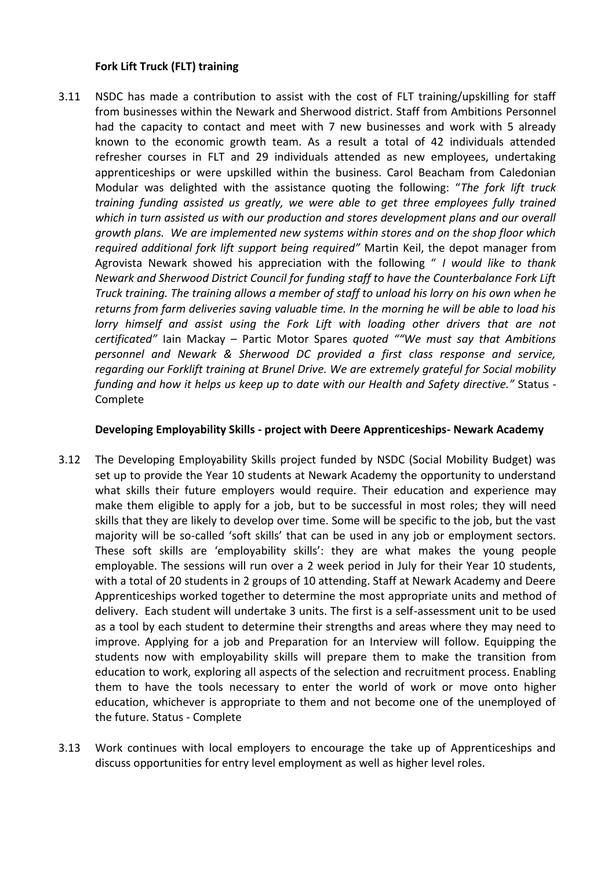## **Fork Lift Truck (FLT) training**

3.11 NSDC has made a contribution to assist with the cost of FLT training/upskilling for staff from businesses within the Newark and Sherwood district. Staff from Ambitions Personnel had the capacity to contact and meet with 7 new businesses and work with 5 already known to the economic growth team. As a result a total of 42 individuals attended refresher courses in FLT and 29 individuals attended as new employees, undertaking apprenticeships or were upskilled within the business. Carol Beacham from Caledonian Modular was delighted with the assistance quoting the following: "*The fork lift truck training funding assisted us greatly, we were able to get three employees fully trained which in turn assisted us with our production and stores development plans and our overall growth plans. We are implemented new systems within stores and on the shop floor which required additional fork lift support being required"* Martin Keil, the depot manager from Agrovista Newark showed his appreciation with the following " *I would like to thank Newark and Sherwood District Council for funding staff to have the Counterbalance Fork Lift Truck training. The training allows a member of staff to unload his lorry on his own when he returns from farm deliveries saving valuable time. In the morning he will be able to load his lorry himself and assist using the Fork Lift with loading other drivers that are not certificated"* Iain Mackay – Partic Motor Spares *quoted ""We must say that Ambitions personnel and Newark & Sherwood DC provided a first class response and service, regarding our Forklift training at Brunel Drive. We are extremely grateful for Social mobility funding and how it helps us keep up to date with our Health and Safety directive."* Status - Complete

### **Developing Employability Skills - project with Deere Apprenticeships- Newark Academy**

- 3.12 The Developing Employability Skills project funded by NSDC (Social Mobility Budget) was set up to provide the Year 10 students at Newark Academy the opportunity to understand what skills their future employers would require. Their education and experience may make them eligible to apply for a job, but to be successful in most roles; they will need skills that they are likely to develop over time. Some will be specific to the job, but the vast majority will be so-called 'soft skills' that can be used in any job or employment sectors. These soft skills are 'employability skills': they are what makes the young people employable. The sessions will run over a 2 week period in July for their Year 10 students, with a total of 20 students in 2 groups of 10 attending. Staff at Newark Academy and Deere Apprenticeships worked together to determine the most appropriate units and method of delivery. Each student will undertake 3 units. The first is a self-assessment unit to be used as a tool by each student to determine their strengths and areas where they may need to improve. Applying for a job and Preparation for an Interview will follow. Equipping the students now with employability skills will prepare them to make the transition from education to work, exploring all aspects of the selection and recruitment process. Enabling them to have the tools necessary to enter the world of work or move onto higher education, whichever is appropriate to them and not become one of the unemployed of the future. Status - Complete
- 3.13 Work continues with local employers to encourage the take up of Apprenticeships and discuss opportunities for entry level employment as well as higher level roles.